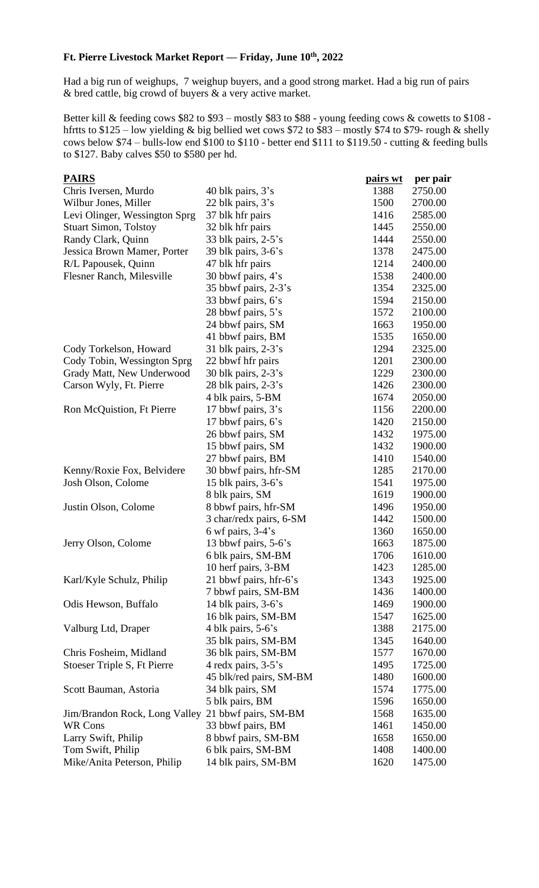## **Ft. Pierre Livestock Market Report –– Friday, June 10th, 2022**

Had a big run of weighups, 7 weighup buyers, and a good strong market. Had a big run of pairs & bred cattle, big crowd of buyers & a very active market.

Better kill & feeding cows \$82 to \$93 – mostly \$83 to \$88 - young feeding cows & cowetts to \$108 hfrtts to \$125 – low yielding & big bellied wet cows \$72 to \$83 – mostly \$74 to \$79- rough & shelly cows below \$74 – bulls-low end \$100 to \$110 - better end \$111 to \$119.50 - cutting & feeding bulls to \$127. Baby calves \$50 to \$580 per hd.

| <b>PAIRS</b>                  |                         | <u>pairs wt</u> | per pair |
|-------------------------------|-------------------------|-----------------|----------|
| Chris Iversen, Murdo          | 40 blk pairs, $3's$     | 1388            | 2750.00  |
| Wilbur Jones, Miller          | 22 blk pairs, 3's       | 1500            | 2700.00  |
| Levi Olinger, Wessington Sprg | 37 blk hfr pairs        | 1416            | 2585.00  |
| <b>Stuart Simon, Tolstoy</b>  | 32 blk hfr pairs        | 1445            | 2550.00  |
| Randy Clark, Quinn            | 33 blk pairs, $2-5$ 's  | 1444            | 2550.00  |
| Jessica Brown Mamer, Porter   | 39 blk pairs, $3-6$ 's  | 1378            | 2475.00  |
| R/L Papousek, Quinn           | 47 blk hfr pairs        | 1214            | 2400.00  |
| Flesner Ranch, Milesville     | 30 bbwf pairs, 4's      | 1538            | 2400.00  |
|                               | 35 bbwf pairs, $2-3$ 's | 1354            | 2325.00  |
|                               | 33 bbwf pairs, 6's      | 1594            | 2150.00  |
|                               | 28 bbwf pairs, 5's      | 1572            | 2100.00  |
|                               | 24 bbwf pairs, SM       | 1663            | 1950.00  |
|                               | 41 bbwf pairs, BM       | 1535            | 1650.00  |
| Cody Torkelson, Howard        | 31 blk pairs, $2-3$ 's  | 1294            | 2325.00  |
| Cody Tobin, Wessington Sprg   | 22 bbwf hfr pairs       | 1201            | 2300.00  |
| Grady Matt, New Underwood     | 30 blk pairs, $2-3$ 's  | 1229            | 2300.00  |
| Carson Wyly, Ft. Pierre       | 28 blk pairs, 2-3's     | 1426            | 2300.00  |
|                               | 4 blk pairs, 5-BM       | 1674            | 2050.00  |
| Ron McQuistion, Ft Pierre     | 17 bbwf pairs, 3's      | 1156            | 2200.00  |
|                               | 17 bbwf pairs, 6's      | 1420            | 2150.00  |
|                               | 26 bbwf pairs, SM       | 1432            | 1975.00  |
|                               | 15 bbwf pairs, SM       | 1432            | 1900.00  |
|                               | 27 bbwf pairs, BM       | 1410            | 1540.00  |
| Kenny/Roxie Fox, Belvidere    | 30 bbwf pairs, hfr-SM   | 1285            | 2170.00  |
| Josh Olson, Colome            | 15 blk pairs, $3-6$ 's  | 1541            | 1975.00  |
|                               | 8 blk pairs, SM         | 1619            | 1900.00  |
| Justin Olson, Colome          | 8 bbwf pairs, hfr-SM    | 1496            | 1950.00  |
|                               | 3 char/redx pairs, 6-SM | 1442            | 1500.00  |
|                               | 6 wf pairs, $3-4$ 's    | 1360            | 1650.00  |
| Jerry Olson, Colome           | 13 bbwf pairs, 5-6's    | 1663            | 1875.00  |
|                               | 6 blk pairs, SM-BM      | 1706            | 1610.00  |
|                               | 10 herf pairs, 3-BM     | 1423            | 1285.00  |
| Karl/Kyle Schulz, Philip      | 21 bbwf pairs, hfr-6's  | 1343            | 1925.00  |
|                               | 7 bbwf pairs, SM-BM     | 1436            | 1400.00  |
| Odis Hewson, Buffalo          | 14 blk pairs, $3-6$ 's  | 1469            | 1900.00  |
|                               | 16 blk pairs, SM-BM     | 1547            | 1625.00  |
| Valburg Ltd, Draper           | 4 blk pairs, 5-6's      | 1388            | 2175.00  |
|                               | 35 blk pairs, SM-BM     | 1345            | 1640.00  |
| Chris Fosheim, Midland        | 36 blk pairs, SM-BM     | 1577            | 1670.00  |
| Stoeser Triple S, Ft Pierre   | 4 redx pairs, 3-5's     | 1495            | 1725.00  |
|                               | 45 blk/red pairs, SM-BM | 1480            | 1600.00  |
| Scott Bauman, Astoria         | 34 blk pairs, SM        | 1574            | 1775.00  |
|                               | 5 blk pairs, BM         | 1596            | 1650.00  |
| Jim/Brandon Rock, Long Valley | 21 bbwf pairs, SM-BM    | 1568            | 1635.00  |
| WR Cons                       | 33 bbwf pairs, BM       | 1461            | 1450.00  |
| Larry Swift, Philip           | 8 bbwf pairs, SM-BM     | 1658            | 1650.00  |
| Tom Swift, Philip             | 6 blk pairs, SM-BM      | 1408            | 1400.00  |
| Mike/Anita Peterson, Philip   | 14 blk pairs, SM-BM     | 1620            | 1475.00  |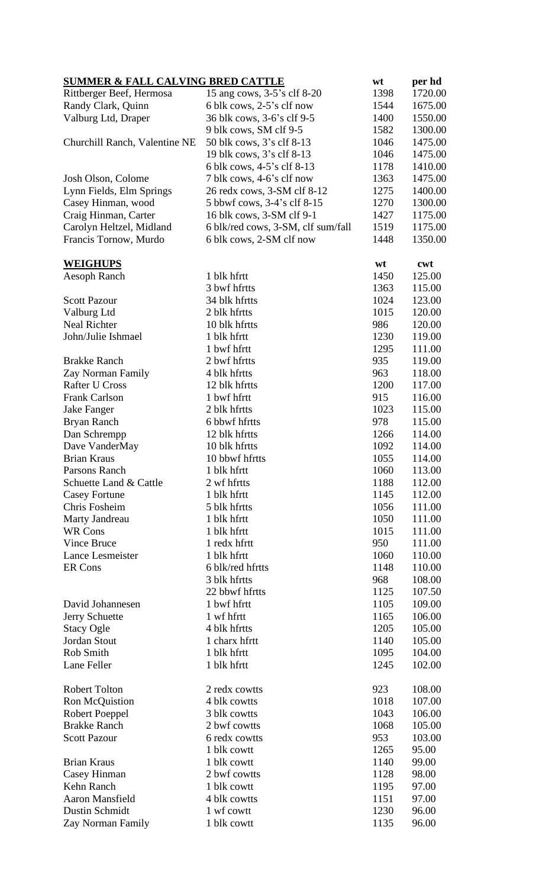| <b>SUMMER &amp; FALL CALVING BRED CATTLE</b> |                                    | wt           | per hd           |
|----------------------------------------------|------------------------------------|--------------|------------------|
| Rittberger Beef, Hermosa                     | 15 ang cows, 3-5's clf 8-20        | 1398         | 1720.00          |
| Randy Clark, Quinn                           | 6 blk cows, 2-5's clf now          | 1544         | 1675.00          |
| Valburg Ltd, Draper                          | 36 blk cows, 3-6's clf 9-5         | 1400         | 1550.00          |
|                                              | 9 blk cows, SM clf 9-5             | 1582         | 1300.00          |
| Churchill Ranch, Valentine NE                | 50 blk cows, 3's clf 8-13          | 1046         | 1475.00          |
|                                              | 19 blk cows, 3's clf 8-13          | 1046         | 1475.00          |
|                                              | 6 blk cows, 4-5's clf 8-13         | 1178         | 1410.00          |
| Josh Olson, Colome                           | 7 blk cows, 4-6's clf now          | 1363         | 1475.00          |
| Lynn Fields, Elm Springs                     | 26 redx cows, 3-SM clf 8-12        | 1275         | 1400.00          |
| Casey Hinman, wood                           | 5 bbwf cows, 3-4's clf 8-15        | 1270         | 1300.00          |
| Craig Hinman, Carter                         | 16 blk cows, 3-SM clf 9-1          | 1427         | 1175.00          |
| Carolyn Heltzel, Midland                     | 6 blk/red cows, 3-SM, clf sum/fall | 1519         | 1175.00          |
| Francis Tornow, Murdo                        | 6 blk cows, 2-SM clf now           | 1448         | 1350.00          |
| <b>WEIGHUPS</b>                              |                                    | wt           | cwt              |
| Aesoph Ranch                                 | 1 blk hfrtt                        | 1450         | 125.00           |
|                                              | 3 bwf hfrtts                       | 1363         | 115.00           |
| <b>Scott Pazour</b>                          | 34 blk hfrtts                      | 1024         | 123.00           |
| Valburg Ltd                                  | 2 blk hfrtts                       | 1015         | 120.00           |
| <b>Neal Richter</b>                          | 10 blk hfrtts                      | 986          | 120.00           |
| John/Julie Ishmael                           | 1 blk hfrtt                        | 1230         | 119.00           |
|                                              | 1 bwf hfrtt                        | 1295         | 111.00           |
| <b>Brakke Ranch</b>                          | 2 bwf hfrtts                       | 935          | 119.00           |
| Zay Norman Family                            | 4 blk hfrtts                       | 963          | 118.00           |
| <b>Rafter U Cross</b>                        | 12 blk hfrtts                      | 1200         | 117.00           |
| <b>Frank Carlson</b>                         | 1 bwf hfrtt                        | 915          | 116.00           |
| Jake Fanger                                  | 2 blk hfrtts                       | 1023         | 115.00           |
| Bryan Ranch                                  | 6 bbwf hfrtts                      | 978          | 115.00           |
| Dan Schrempp                                 | 12 blk hfrtts                      | 1266         | 114.00           |
| Dave VanderMay                               | 10 blk hfrtts                      | 1092         | 114.00           |
| <b>Brian Kraus</b>                           | 10 bbwf hfrtts                     | 1055         | 114.00           |
| Parsons Ranch                                | 1 blk hfrtt                        | 1060         | 113.00           |
| Schuette Land & Cattle                       | 2 wf hfrtts                        | 1188         | 112.00           |
| <b>Casey Fortune</b>                         | 1 blk hfrtt                        | 1145         | 112.00           |
| Chris Fosheim                                | 5 blk hfrtts                       | 1056         | 111.00           |
| Marty Jandreau                               | 1 blk hfrtt                        | 1050         | 111.00           |
| <b>WR Cons</b>                               | 1 blk hfrtt                        | 1015         | 111.00           |
| <b>Vince Bruce</b>                           | 1 redx hfrtt                       | 950          | 111.00           |
| Lance Lesmeister                             | 1 blk hfrtt                        | 1060         | 110.00           |
| ER Cons                                      | 6 blk/red hfrtts                   | 1148         | 110.00           |
|                                              | 3 blk hfrtts                       | 968          | 108.00           |
|                                              | 22 bbwf hfrtts                     | 1125         | 107.50           |
| David Johannesen                             | 1 bwf hfrtt                        | 1105         | 109.00           |
| Jerry Schuette                               | 1 wf hfrtt                         | 1165         | 106.00           |
| <b>Stacy Ogle</b>                            | 4 blk hfrtts                       | 1205         | 105.00           |
| Jordan Stout<br>Rob Smith                    | 1 charx hfrtt<br>1 blk hfrtt       | 1140         | 105.00<br>104.00 |
| Lane Feller                                  | 1 blk hfrtt                        | 1095<br>1245 | 102.00           |
|                                              |                                    |              |                  |
| <b>Robert Tolton</b>                         | 2 redx cowtts                      | 923          | 108.00           |
| Ron McQuistion                               | 4 blk cowtts                       | 1018         | 107.00           |
| Robert Poeppel                               | 3 blk cowtts                       | 1043         | 106.00           |
| <b>Brakke Ranch</b>                          | 2 bwf cowtts                       | 1068         | 105.00           |
| <b>Scott Pazour</b>                          | 6 redx cowtts                      | 953          | 103.00           |
|                                              | 1 blk cowtt                        | 1265         | 95.00            |
| <b>Brian Kraus</b>                           | 1 blk cowtt<br>2 bwf cowtts        | 1140         | 99.00            |
| Casey Hinman<br>Kehn Ranch                   | 1 blk cowtt                        | 1128<br>1195 | 98.00<br>97.00   |
| Aaron Mansfield                              | 4 blk cowtts                       | 1151         | 97.00            |
| <b>Dustin Schmidt</b>                        | 1 wf cowtt                         | 1230         | 96.00            |
| Zay Norman Family                            | 1 blk cowtt                        | 1135         | 96.00            |
|                                              |                                    |              |                  |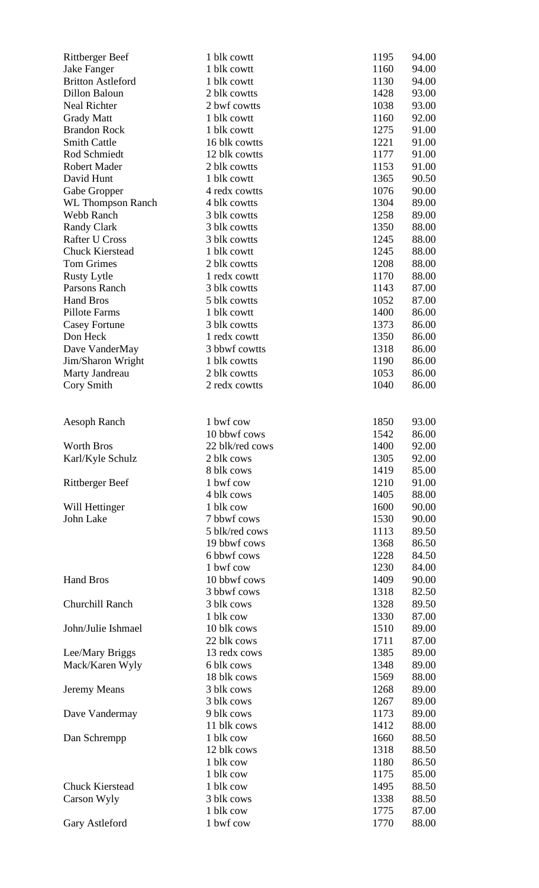| <b>Rittberger Beef</b>   | 1 blk cowtt            | 1195         | 94.00          |
|--------------------------|------------------------|--------------|----------------|
| Jake Fanger              | 1 blk cowtt            | 1160         | 94.00          |
| <b>Britton Astleford</b> | 1 blk cowtt            | 1130         | 94.00          |
| Dillon Baloun            | 2 blk cowtts           | 1428         | 93.00          |
| <b>Neal Richter</b>      | 2 bwf cowtts           | 1038         | 93.00          |
| <b>Grady Matt</b>        | 1 blk cowtt            | 1160         | 92.00          |
| <b>Brandon Rock</b>      | 1 blk cowtt            | 1275         | 91.00          |
| <b>Smith Cattle</b>      | 16 blk cowtts          | 1221         | 91.00          |
| Rod Schmiedt             | 12 blk cowtts          | 1177         | 91.00          |
| <b>Robert Mader</b>      | 2 blk cowtts           | 1153         | 91.00          |
| David Hunt               | 1 blk cowtt            | 1365         | 90.50          |
| Gabe Gropper             | 4 redx cowtts          | 1076         | 90.00          |
| <b>WL Thompson Ranch</b> | 4 blk cowtts           | 1304         | 89.00          |
| Webb Ranch               | 3 blk cowtts           | 1258         | 89.00          |
| <b>Randy Clark</b>       | 3 blk cowtts           | 1350         | 88.00          |
| <b>Rafter U Cross</b>    | 3 blk cowtts           | 1245         | 88.00          |
| <b>Chuck Kierstead</b>   | 1 blk cowtt            | 1245         | 88.00          |
| <b>Tom Grimes</b>        | 2 blk cowtts           | 1208         | 88.00          |
| <b>Rusty Lytle</b>       | 1 redx cowtt           | 1170         | 88.00          |
| Parsons Ranch            | 3 blk cowtts           | 1143         | 87.00          |
| <b>Hand Bros</b>         | 5 blk cowtts           | 1052         | 87.00          |
| Pillote Farms            | 1 blk cowtt            | 1400         | 86.00          |
| <b>Casey Fortune</b>     | 3 blk cowtts           | 1373         | 86.00          |
| Don Heck                 | 1 redx cowtt           | 1350         | 86.00          |
| Dave VanderMay           | 3 bbwf cowtts          | 1318         | 86.00          |
| Jim/Sharon Wright        | 1 blk cowtts           | 1190         | 86.00          |
| Marty Jandreau           | 2 blk cowtts           | 1053         | 86.00          |
| Cory Smith               | 2 redx cowtts          | 1040         | 86.00          |
|                          |                        |              |                |
|                          |                        |              |                |
| Aesoph Ranch             | 1 bwf cow              | 1850         | 93.00          |
|                          | 10 bbwf cows           | 1542         | 86.00          |
| Worth Bros               | 22 blk/red cows        | 1400         | 92.00          |
| Karl/Kyle Schulz         | 2 blk cows             | 1305         | 92.00          |
|                          | 8 blk cows             | 1419         | 85.00          |
| <b>Rittberger Beef</b>   | 1 bwf cow              | 1210         | 91.00          |
|                          | 4 blk cows             | 1405         | 88.00          |
| Will Hettinger           | 1 blk cow              | 1600         | 90.00          |
|                          |                        |              | 90.00          |
| John Lake                | 7 bbwf cows            | 1530         |                |
|                          | 5 blk/red cows         | 1113         | 89.50          |
|                          | 19 bbwf cows           | 1368         | 86.50          |
|                          | 6 bbwf cows            | 1228         | 84.50          |
|                          | 1 bwf cow              | 1230         | 84.00          |
| <b>Hand Bros</b>         | 10 bbwf cows           | 1409         | 90.00          |
|                          | 3 bbwf cows            | 1318         | 82.50          |
| Churchill Ranch          | 3 blk cows             | 1328         | 89.50          |
|                          | 1 blk cow              | 1330         | 87.00          |
| John/Julie Ishmael       | 10 blk cows            | 1510         | 89.00          |
|                          | 22 blk cows            | 1711         | 87.00          |
| Lee/Mary Briggs          | 13 redx cows           | 1385         | 89.00          |
| Mack/Karen Wyly          | 6 blk cows             | 1348         | 89.00          |
|                          | 18 blk cows            | 1569         | 88.00          |
| Jeremy Means             | 3 blk cows             | 1268         | 89.00          |
|                          | 3 blk cows             | 1267         | 89.00          |
| Dave Vandermay           | 9 blk cows             | 1173         | 89.00          |
|                          | 11 blk cows            | 1412         | 88.00          |
| Dan Schrempp             | 1 blk cow              | 1660         | 88.50          |
|                          | 12 blk cows            | 1318         | 88.50          |
|                          | 1 blk cow              | 1180         | 86.50          |
|                          | 1 blk cow              | 1175         | 85.00          |
| <b>Chuck Kierstead</b>   | 1 blk cow              | 1495         | 88.50          |
| Carson Wyly              | 3 blk cows             | 1338         | 88.50          |
| Gary Astleford           | 1 blk cow<br>1 bwf cow | 1775<br>1770 | 87.00<br>88.00 |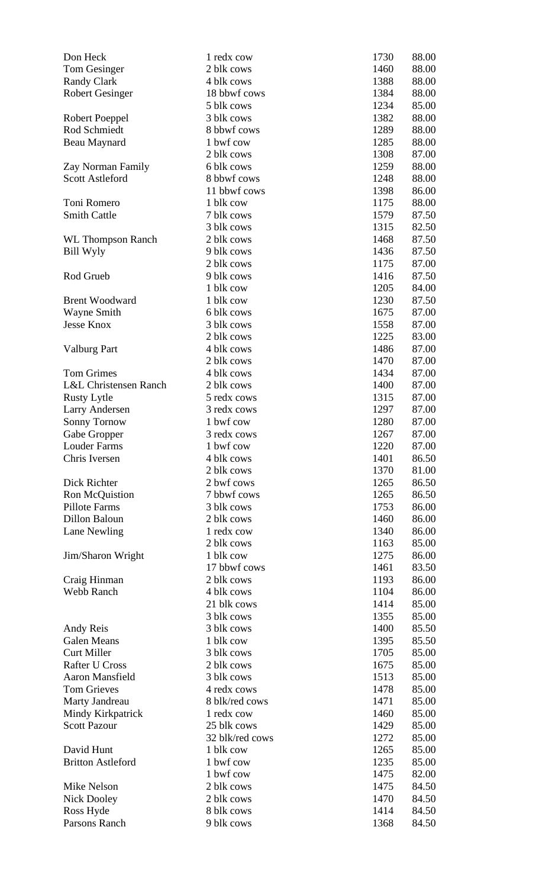| Don Heck                         | 1 redx cow      | 1730 | 88.00 |
|----------------------------------|-----------------|------|-------|
| Tom Gesinger                     | 2 blk cows      | 1460 | 88.00 |
| <b>Randy Clark</b>               | 4 blk cows      | 1388 | 88.00 |
| <b>Robert Gesinger</b>           | 18 bbwf cows    | 1384 | 88.00 |
|                                  | 5 blk cows      | 1234 | 85.00 |
| Robert Poeppel                   | 3 blk cows      | 1382 | 88.00 |
| Rod Schmiedt                     | 8 bbwf cows     | 1289 | 88.00 |
| Beau Maynard                     | 1 bwf cow       | 1285 | 88.00 |
|                                  | 2 blk cows      | 1308 | 87.00 |
| Zay Norman Family                | 6 blk cows      | 1259 | 88.00 |
| <b>Scott Astleford</b>           | 8 bbwf cows     | 1248 | 88.00 |
|                                  | 11 bbwf cows    | 1398 | 86.00 |
| Toni Romero                      | 1 blk cow       | 1175 | 88.00 |
| <b>Smith Cattle</b>              | 7 blk cows      | 1579 | 87.50 |
|                                  | 3 blk cows      | 1315 | 82.50 |
| <b>WL Thompson Ranch</b>         | 2 blk cows      | 1468 | 87.50 |
| Bill Wyly                        | 9 blk cows      | 1436 | 87.50 |
|                                  | 2 blk cows      | 1175 | 87.00 |
| Rod Grueb                        | 9 blk cows      | 1416 | 87.50 |
|                                  | 1 blk cow       | 1205 | 84.00 |
| <b>Brent Woodward</b>            | 1 blk cow       | 1230 | 87.50 |
| Wayne Smith                      | 6 blk cows      | 1675 | 87.00 |
| <b>Jesse Knox</b>                | 3 blk cows      | 1558 | 87.00 |
|                                  | 2 blk cows      | 1225 | 83.00 |
| <b>Valburg Part</b>              | 4 blk cows      | 1486 | 87.00 |
|                                  | 2 blk cows      | 1470 | 87.00 |
| <b>Tom Grimes</b>                | 4 blk cows      | 1434 | 87.00 |
| <b>L&amp;L Christensen Ranch</b> | 2 blk cows      | 1400 | 87.00 |
| <b>Rusty Lytle</b>               | 5 redx cows     | 1315 | 87.00 |
| <b>Larry Andersen</b>            | 3 redx cows     | 1297 | 87.00 |
| <b>Sonny Tornow</b>              | 1 bwf cow       | 1280 | 87.00 |
| Gabe Gropper                     | 3 redx cows     | 1267 | 87.00 |
| Louder Farms                     | 1 bwf cow       | 1220 | 87.00 |
| Chris Iversen                    | 4 blk cows      | 1401 | 86.50 |
|                                  | 2 blk cows      | 1370 | 81.00 |
| Dick Richter                     | 2 bwf cows      | 1265 | 86.50 |
| Ron McQuistion                   | 7 bbwf cows     | 1265 | 86.50 |
| Pillote Farms                    | 3 blk cows      | 1753 | 86.00 |
| Dillon Baloun                    | 2 blk cows      | 1460 | 86.00 |
| Lane Newling                     | 1 redx cow      | 1340 | 86.00 |
|                                  | 2 blk cows      | 1163 | 85.00 |
| Jim/Sharon Wright                | 1 blk cow       | 1275 | 86.00 |
|                                  | 17 bbwf cows    | 1461 | 83.50 |
| Craig Hinman                     | 2 blk cows      | 1193 | 86.00 |
| Webb Ranch                       | 4 blk cows      | 1104 | 86.00 |
|                                  | 21 blk cows     | 1414 | 85.00 |
|                                  | 3 blk cows      | 1355 | 85.00 |
| Andy Reis                        | 3 blk cows      | 1400 | 85.50 |
| <b>Galen Means</b>               | 1 blk cow       | 1395 | 85.50 |
| <b>Curt Miller</b>               | 3 blk cows      | 1705 | 85.00 |
| <b>Rafter U Cross</b>            | 2 blk cows      | 1675 | 85.00 |
| Aaron Mansfield                  | 3 blk cows      | 1513 | 85.00 |
| <b>Tom Grieves</b>               | 4 redx cows     | 1478 | 85.00 |
| Marty Jandreau                   | 8 blk/red cows  | 1471 | 85.00 |
| Mindy Kirkpatrick                | 1 redx cow      | 1460 | 85.00 |
| <b>Scott Pazour</b>              | 25 blk cows     | 1429 | 85.00 |
|                                  | 32 blk/red cows | 1272 | 85.00 |
| David Hunt                       | 1 blk cow       | 1265 | 85.00 |
| <b>Britton Astleford</b>         | 1 bwf cow       | 1235 | 85.00 |
|                                  | 1 bwf cow       | 1475 | 82.00 |
| Mike Nelson                      | 2 blk cows      | 1475 | 84.50 |
| Nick Dooley                      | 2 blk cows      | 1470 | 84.50 |
| Ross Hyde                        | 8 blk cows      | 1414 | 84.50 |
| Parsons Ranch                    | 9 blk cows      | 1368 | 84.50 |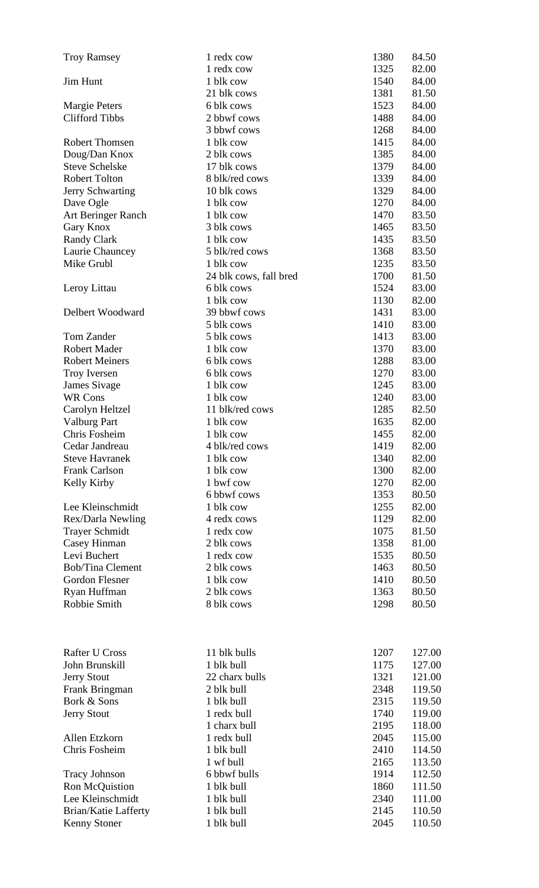| <b>Troy Ramsey</b>      | 1 redx cow             | 1380 | 84.50  |
|-------------------------|------------------------|------|--------|
|                         | 1 redx cow             | 1325 | 82.00  |
| <b>Jim Hunt</b>         | 1 blk cow              | 1540 | 84.00  |
|                         | 21 blk cows            | 1381 | 81.50  |
| <b>Margie Peters</b>    | 6 blk cows             | 1523 | 84.00  |
| <b>Clifford Tibbs</b>   | 2 bbwf cows            | 1488 | 84.00  |
|                         | 3 bbwf cows            | 1268 | 84.00  |
| <b>Robert Thomsen</b>   | 1 blk cow              | 1415 | 84.00  |
| Doug/Dan Knox           | 2 blk cows             | 1385 | 84.00  |
| <b>Steve Schelske</b>   | 17 blk cows            | 1379 | 84.00  |
| <b>Robert Tolton</b>    | 8 blk/red cows         | 1339 | 84.00  |
| Jerry Schwarting        | 10 blk cows            | 1329 | 84.00  |
| Dave Ogle               | 1 blk cow              | 1270 | 84.00  |
| Art Beringer Ranch      | 1 blk cow              | 1470 | 83.50  |
| Gary Knox               | 3 blk cows             | 1465 | 83.50  |
| <b>Randy Clark</b>      | 1 blk cow              | 1435 | 83.50  |
| Laurie Chauncey         | 5 blk/red cows         | 1368 | 83.50  |
| Mike Grubl              | 1 blk cow              | 1235 | 83.50  |
|                         | 24 blk cows, fall bred | 1700 | 81.50  |
| Leroy Littau            | 6 blk cows             | 1524 | 83.00  |
|                         | 1 blk cow              | 1130 | 82.00  |
| Delbert Woodward        | 39 bbwf cows           | 1431 | 83.00  |
|                         | 5 blk cows             | 1410 | 83.00  |
| Tom Zander              | 5 blk cows             | 1413 | 83.00  |
| <b>Robert Mader</b>     | 1 blk cow              | 1370 | 83.00  |
| <b>Robert Meiners</b>   | 6 blk cows             | 1288 | 83.00  |
| Troy Iversen            | 6 blk cows             | 1270 | 83.00  |
| James Sivage            | 1 blk cow              | 1245 | 83.00  |
| <b>WR Cons</b>          | 1 blk cow              | 1240 | 83.00  |
| Carolyn Heltzel         | 11 blk/red cows        | 1285 | 82.50  |
| <b>Valburg Part</b>     | 1 blk cow              | 1635 | 82.00  |
| Chris Fosheim           | 1 blk cow              | 1455 | 82.00  |
| Cedar Jandreau          | 4 blk/red cows         | 1419 | 82.00  |
| <b>Steve Havranek</b>   | 1 blk cow              | 1340 | 82.00  |
| <b>Frank Carlson</b>    | 1 blk cow              | 1300 | 82.00  |
| Kelly Kirby             | 1 bwf cow              | 1270 | 82.00  |
|                         | 6 bbwf cows            | 1353 | 80.50  |
| Lee Kleinschmidt        | 1 blk cow              | 1255 | 82.00  |
| Rex/Darla Newling       | 4 redx cows            | 1129 | 82.00  |
| <b>Trayer Schmidt</b>   | 1 redx cow             | 1075 | 81.50  |
| Casey Hinman            | 2 blk cows             | 1358 | 81.00  |
| Levi Buchert            | 1 redx cow             | 1535 | 80.50  |
| <b>Bob/Tina Clement</b> | 2 blk cows             | 1463 | 80.50  |
| Gordon Flesner          | 1 blk cow              | 1410 | 80.50  |
| Ryan Huffman            | 2 blk cows             | 1363 | 80.50  |
| Robbie Smith            | 8 blk cows             | 1298 | 80.50  |
| <b>Rafter U Cross</b>   | 11 blk bulls           | 1207 | 127.00 |
| John Brunskill          | 1 blk bull             | 1175 | 127.00 |
| <b>Jerry Stout</b>      | 22 charx bulls         | 1321 | 121.00 |
| Frank Bringman          | 2 blk bull             | 2348 | 119.50 |
| Bork & Sons             | 1 blk bull             | 2315 | 119.50 |
| <b>Jerry Stout</b>      | 1 redx bull            | 1740 | 119.00 |
|                         | 1 charx bull           | 2195 | 118.00 |
| Allen Etzkorn           | 1 redx bull            | 2045 | 115.00 |
| Chris Fosheim           | 1 blk bull             | 2410 | 114.50 |
|                         | 1 wf bull              | 2165 | 113.50 |
| <b>Tracy Johnson</b>    | 6 bbwf bulls           | 1914 | 112.50 |
| Ron McQuistion          | 1 blk bull             | 1860 | 111.50 |
| Lee Kleinschmidt        | 1 blk bull             | 2340 | 111.00 |
| Brian/Katie Lafferty    | 1 blk bull             | 2145 | 110.50 |
| <b>Kenny Stoner</b>     | 1 blk bull             | 2045 | 110.50 |
|                         |                        |      |        |